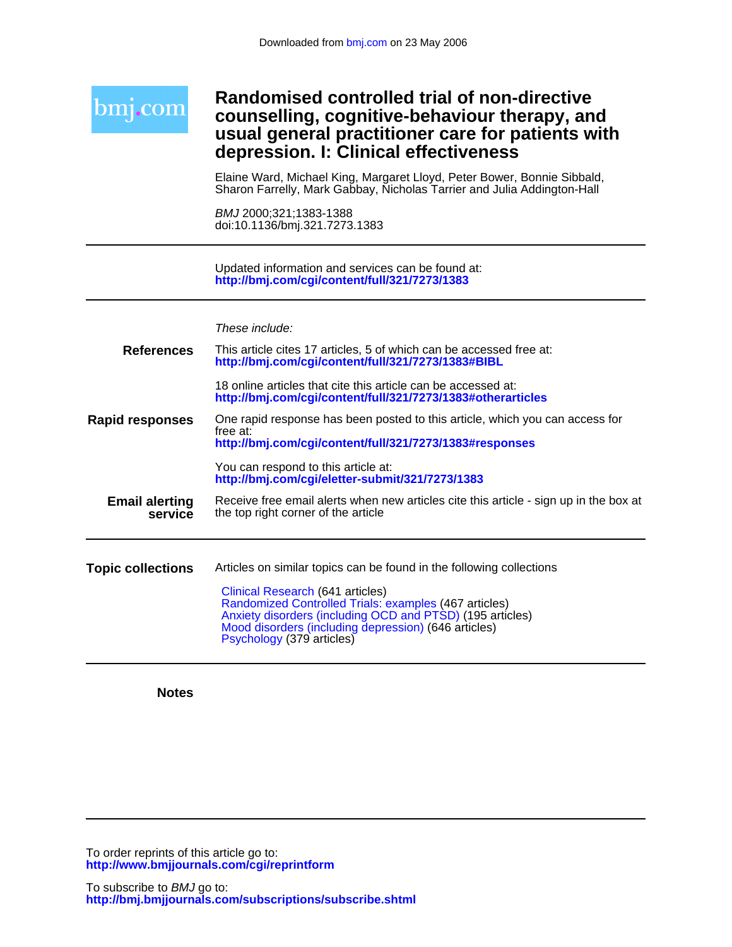| Randomised controlled trial of non-directive<br>counselling, cognitive-behaviour therapy, and<br>usual general practitioner care for patients with<br>depression. I: Clinical effectiveness                                                 |
|---------------------------------------------------------------------------------------------------------------------------------------------------------------------------------------------------------------------------------------------|
| Elaine Ward, Michael King, Margaret Lloyd, Peter Bower, Bonnie Sibbald,<br>Sharon Farrelly, Mark Gabbay, Nicholas Tarrier and Julia Addington-Hall                                                                                          |
| BMJ 2000;321;1383-1388<br>doi:10.1136/bmj.321.7273.1383                                                                                                                                                                                     |
| Updated information and services can be found at:<br>http://bmj.com/cgi/content/full/321/7273/1383                                                                                                                                          |
| These include:                                                                                                                                                                                                                              |
| This article cites 17 articles, 5 of which can be accessed free at:<br>http://bmj.com/cgi/content/full/321/7273/1383#BIBL                                                                                                                   |
| 18 online articles that cite this article can be accessed at:<br>http://bmj.com/cgi/content/full/321/7273/1383#otherarticles                                                                                                                |
| One rapid response has been posted to this article, which you can access for<br>free at:<br>http://bmj.com/cgi/content/full/321/7273/1383#responses                                                                                         |
| You can respond to this article at:<br>http://bmj.com/cgi/eletter-submit/321/7273/1383                                                                                                                                                      |
| Receive free email alerts when new articles cite this article - sign up in the box at<br>the top right corner of the article                                                                                                                |
| Articles on similar topics can be found in the following collections                                                                                                                                                                        |
| Clinical Research (641 articles)<br>Randomized Controlled Trials: examples (467 articles)<br>Anxiety disorders (including OCD and PTSD) (195 articles)<br>Mood disorders (including depression) (646 articles)<br>Psychology (379 articles) |
|                                                                                                                                                                                                                                             |

**Notes**

**<http://www.bmjjournals.com/cgi/reprintform>** To order reprints of this article go to: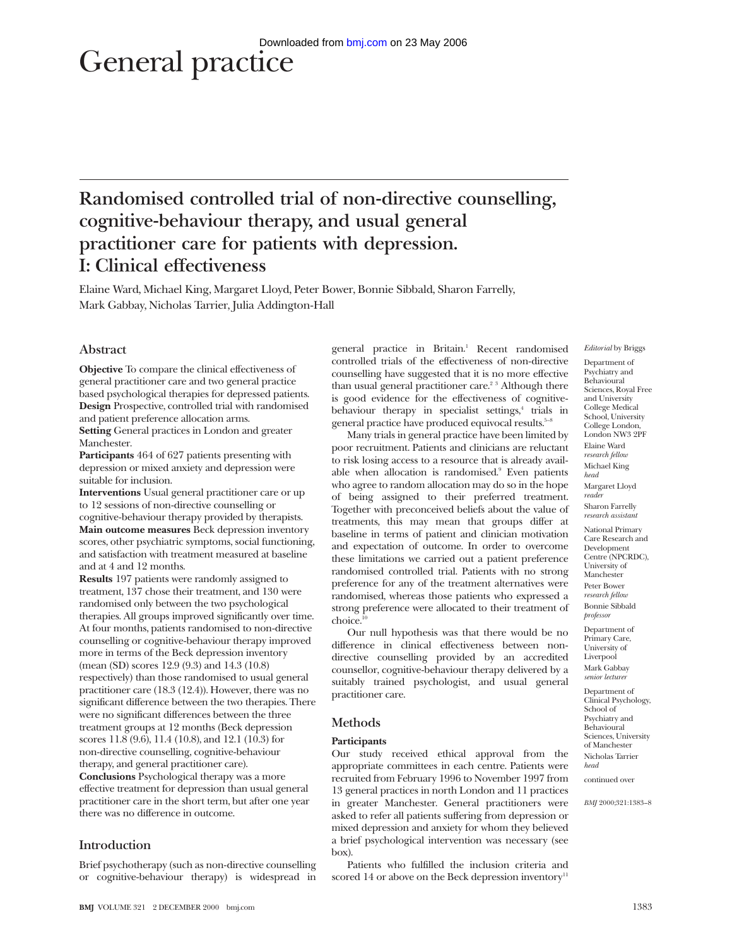# General practice

# **Randomised controlled trial of non-directive counselling, cognitive-behaviour therapy, and usual general practitioner care for patients with depression. I: Clinical effectiveness**

Elaine Ward, Michael King, Margaret Lloyd, Peter Bower, Bonnie Sibbald, Sharon Farrelly, Mark Gabbay, Nicholas Tarrier, Julia Addington-Hall

# **Abstract**

**Objective** To compare the clinical effectiveness of general practitioner care and two general practice based psychological therapies for depressed patients. **Design** Prospective, controlled trial with randomised and patient preference allocation arms. **Setting** General practices in London and greater

Manchester. **Participants** 464 of 627 patients presenting with

depression or mixed anxiety and depression were suitable for inclusion.

**Interventions** Usual general practitioner care or up to 12 sessions of non-directive counselling or cognitive-behaviour therapy provided by therapists. **Main outcome measures** Beck depression inventory scores, other psychiatric symptoms, social functioning, and satisfaction with treatment measured at baseline and at 4 and 12 months.

**Results** 197 patients were randomly assigned to treatment, 137 chose their treatment, and 130 were randomised only between the two psychological therapies. All groups improved significantly over time. At four months, patients randomised to non-directive counselling or cognitive-behaviour therapy improved more in terms of the Beck depression inventory (mean (SD) scores 12.9 (9.3) and 14.3 (10.8) respectively) than those randomised to usual general practitioner care (18.3 (12.4)). However, there was no significant difference between the two therapies. There were no significant differences between the three treatment groups at 12 months (Beck depression scores 11.8 (9.6), 11.4 (10.8), and 12.1 (10.3) for non-directive counselling, cognitive-behaviour therapy, and general practitioner care). **Conclusions** Psychological therapy was a more effective treatment for depression than usual general practitioner care in the short term, but after one year there was no difference in outcome.

# **Introduction**

Brief psychotherapy (such as non-directive counselling or cognitive-behaviour therapy) is widespread in

general practice in Britain.<sup>1</sup> Recent randomised controlled trials of the effectiveness of non-directive counselling have suggested that it is no more effective than usual general practitioner care.<sup>23</sup> Although there is good evidence for the effectiveness of cognitivebehaviour therapy in specialist settings,<sup>4</sup> trials in general practice have produced equivocal results. $5-8$ 

Many trials in general practice have been limited by poor recruitment. Patients and clinicians are reluctant to risk losing access to a resource that is already available when allocation is randomised.<sup>9</sup> Even patients who agree to random allocation may do so in the hope of being assigned to their preferred treatment. Together with preconceived beliefs about the value of treatments, this may mean that groups differ at baseline in terms of patient and clinician motivation and expectation of outcome. In order to overcome these limitations we carried out a patient preference randomised controlled trial. Patients with no strong preference for any of the treatment alternatives were randomised, whereas those patients who expressed a strong preference were allocated to their treatment of choice.

Our null hypothesis was that there would be no difference in clinical effectiveness between nondirective counselling provided by an accredited counsellor, cognitive-behaviour therapy delivered by a suitably trained psychologist, and usual general practitioner care.

# **Methods**

# **Participants**

Our study received ethical approval from the appropriate committees in each centre. Patients were recruited from February 1996 to November 1997 from 13 general practices in north London and 11 practices in greater Manchester. General practitioners were asked to refer all patients suffering from depression or mixed depression and anxiety for whom they believed a brief psychological intervention was necessary (see box).

Patients who fulfilled the inclusion criteria and scored 14 or above on the Beck depression inventory<sup>11</sup>

*Editorial* by Briggs

Department of Psychiatry and Behavioural Sciences, Royal Free and University College Medical School, University College London, London NW3 2PF Elaine Ward *research fellow* Michael King *head* Margaret Lloyd *reader* Sharon Farrelly *research assistant* National Primary Care Research and Development Centre (NPCRDC), University of Manchester Peter Bower *research fellow* Bonnie Sibbald *professor*

Department of Primary Care, University of Liverpool Mark Gabbay *senior lecturer*

Department of Clinical Psychology, School of Psychiatry and Behavioural Sciences, University of Manchester Nicholas Tarrier *head*

continued over

*BMJ* 2000;321:1383–8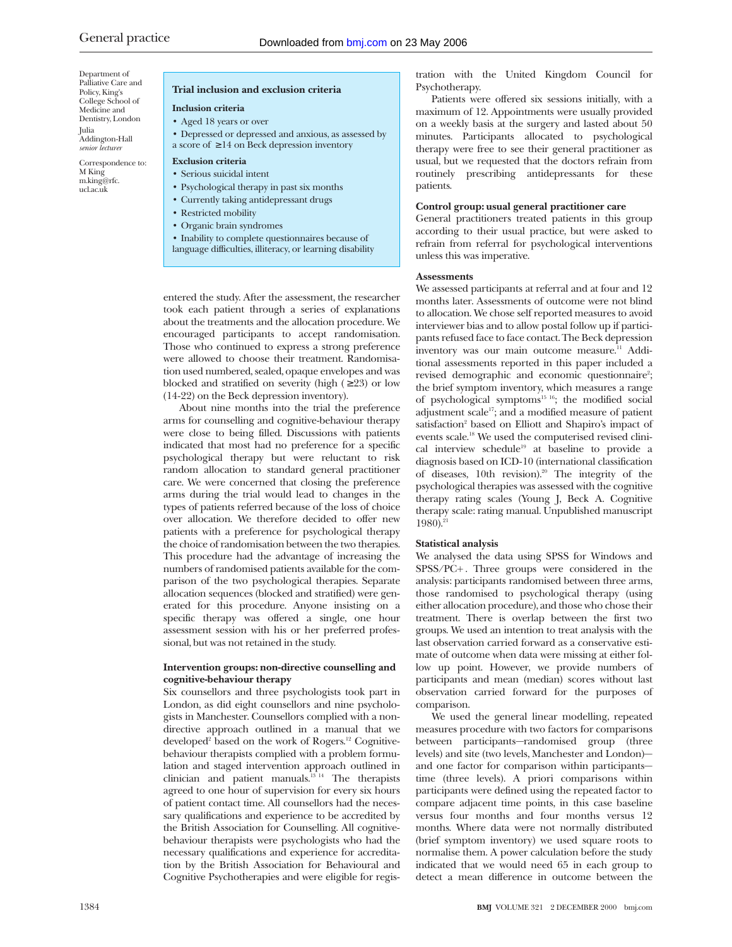Department of Palliative Care and Policy, King's College School of Medicine and Dentistry, London Julia Addington-Hall *senior lecturer*

Correspondence to: M King m.king@rfc. ucl.ac.uk

# **Trial inclusion and exclusion criteria**

# **Inclusion criteria**

- Aged 18 years or over
- Depressed or depressed and anxious, as assessed by a score of ≥ 14 on Beck depression inventory

#### **Exclusion criteria**

- Serious suicidal intent
- Psychological therapy in past six months
- Currently taking antidepressant drugs
- Restricted mobility
- Organic brain syndromes
- Inability to complete questionnaires because of
- language difficulties, illiteracy, or learning disability

entered the study. After the assessment, the researcher took each patient through a series of explanations about the treatments and the allocation procedure. We encouraged participants to accept randomisation. Those who continued to express a strong preference were allowed to choose their treatment. Randomisation used numbered, sealed, opaque envelopes and was blocked and stratified on severity (high  $( \geq 23)$  or low (14-22) on the Beck depression inventory).

About nine months into the trial the preference arms for counselling and cognitive-behaviour therapy were close to being filled. Discussions with patients indicated that most had no preference for a specific psychological therapy but were reluctant to risk random allocation to standard general practitioner care. We were concerned that closing the preference arms during the trial would lead to changes in the types of patients referred because of the loss of choice over allocation. We therefore decided to offer new patients with a preference for psychological therapy the choice of randomisation between the two therapies. This procedure had the advantage of increasing the numbers of randomised patients available for the comparison of the two psychological therapies. Separate allocation sequences (blocked and stratified) were generated for this procedure. Anyone insisting on a specific therapy was offered a single, one hour assessment session with his or her preferred professional, but was not retained in the study.

# **Intervention groups: non-directive counselling and cognitive-behaviour therapy**

Six counsellors and three psychologists took part in London, as did eight counsellors and nine psychologists in Manchester. Counsellors complied with a nondirective approach outlined in a manual that we developed<sup>2</sup> based on the work of Rogers.<sup>12</sup> Cognitivebehaviour therapists complied with a problem formulation and staged intervention approach outlined in clinician and patient manuals. $13 + 14$  The therapists agreed to one hour of supervision for every six hours of patient contact time. All counsellors had the necessary qualifications and experience to be accredited by the British Association for Counselling. All cognitivebehaviour therapists were psychologists who had the necessary qualifications and experience for accreditation by the British Association for Behavioural and Cognitive Psychotherapies and were eligible for regis-

tration with the United Kingdom Council for Psychotherapy.

Patients were offered six sessions initially, with a maximum of 12. Appointments were usually provided on a weekly basis at the surgery and lasted about 50 minutes. Participants allocated to psychological therapy were free to see their general practitioner as usual, but we requested that the doctors refrain from routinely prescribing antidepressants for these patients.

# **Control group: usual general practitioner care**

General practitioners treated patients in this group according to their usual practice, but were asked to refrain from referral for psychological interventions unless this was imperative.

#### **Assessments**

We assessed participants at referral and at four and 12 months later. Assessments of outcome were not blind to allocation. We chose self reported measures to avoid interviewer bias and to allow postal follow up if participants refused face to face contact. The Beck depression inventory was our main outcome measure.<sup>11</sup> Additional assessments reported in this paper included a revised demographic and economic questionnaire<sup>2</sup>; the brief symptom inventory, which measures a range of psychological symptoms<sup>15 16</sup>; the modified social adjustment scale<sup>17</sup>; and a modified measure of patient satisfaction<sup>2</sup> based on Elliott and Shapiro's impact of events scale.18 We used the computerised revised clinical interview schedule<sup>19</sup> at baseline to provide a diagnosis based on ICD-10 (international classification of diseases, 10th revision).<sup>20</sup> The integrity of the psychological therapies was assessed with the cognitive therapy rating scales (Young J, Beck A. Cognitive therapy scale: rating manual. Unpublished manuscript  $1980$ ).<sup>21</sup>

# **Statistical analysis**

We analysed the data using SPSS for Windows and SPSS/PC+ . Three groups were considered in the analysis: participants randomised between three arms, those randomised to psychological therapy (using either allocation procedure), and those who chose their treatment. There is overlap between the first two groups. We used an intention to treat analysis with the last observation carried forward as a conservative estimate of outcome when data were missing at either follow up point. However, we provide numbers of participants and mean (median) scores without last observation carried forward for the purposes of comparison.

We used the general linear modelling, repeated measures procedure with two factors for comparisons between participants—randomised group (three levels) and site (two levels, Manchester and London) and one factor for comparison within participants time (three levels). A priori comparisons within participants were defined using the repeated factor to compare adjacent time points, in this case baseline versus four months and four months versus 12 months. Where data were not normally distributed (brief symptom inventory) we used square roots to normalise them. A power calculation before the study indicated that we would need 65 in each group to detect a mean difference in outcome between the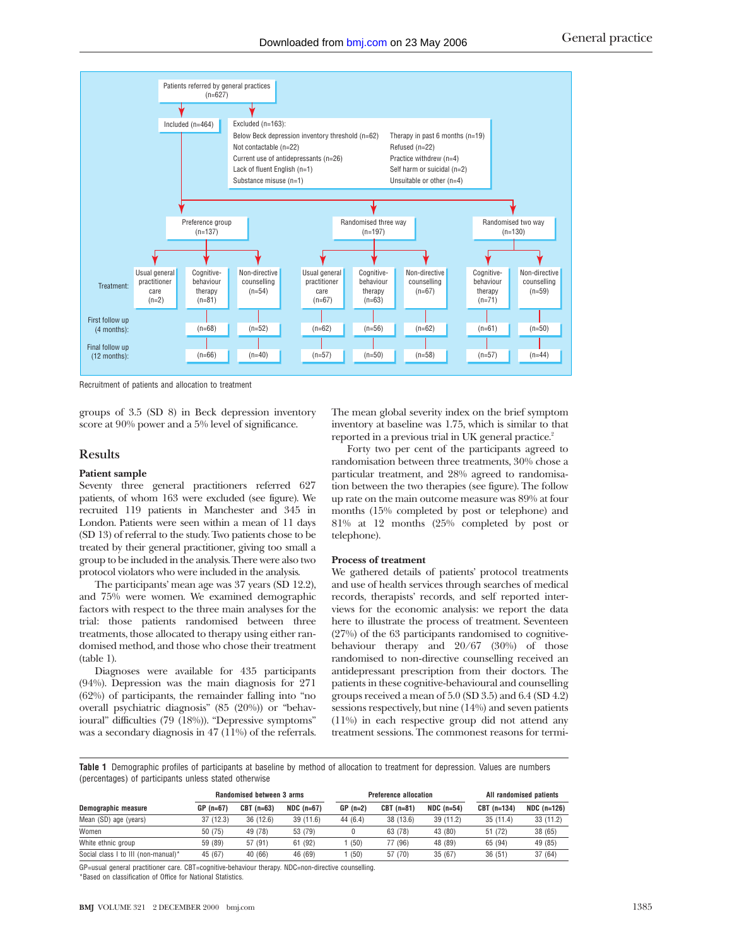

Recruitment of patients and allocation to treatment

groups of 3.5 (SD 8) in Beck depression inventory score at 90% power and a 5% level of significance.

# **Results**

# **Patient sample**

Seventy three general practitioners referred  $627$ patients, of whom 163 were excluded (see figure). We recruited 119 patients in Manchester and 345 in London. Patients were seen within a mean of 11 days (SD 13) of referral to the study. Two patients chose to be treated by their general practitioner, giving too small a group to be included in the analysis. There were also two protocol violators who were included in the analysis.

The participants' mean age was 37 years (SD 12.2), and 75% were women. We examined demographic factors with respect to the three main analyses for the trial: those patients randomised between three treatments, those allocated to therapy using either randomised method, and those who chose their treatment (table 1).

Diagnoses were available for 435 participants (94%). Depression was the main diagnosis for 271 (62%) of participants, the remainder falling into "no overall psychiatric diagnosis" (85 (20%)) or "behavioural" difficulties (79 (18%)). "Depressive symptoms" was a secondary diagnosis in 47 (11%) of the referrals. The mean global severity index on the brief symptom inventory at baseline was 1.75, which is similar to that reported in a previous trial in UK general practice.<sup>2</sup>

Forty two per cent of the participants agreed to randomisation between three treatments, 30% chose a particular treatment, and 28% agreed to randomisation between the two therapies (see figure). The follow up rate on the main outcome measure was 89% at four months (15% completed by post or telephone) and 81% at 12 months (25% completed by post or telephone).

#### **Process of treatment**

We gathered details of patients' protocol treatments and use of health services through searches of medical records, therapists' records, and self reported interviews for the economic analysis: we report the data here to illustrate the process of treatment. Seventeen (27%) of the 63 participants randomised to cognitivebehaviour therapy and 20/67 (30%) of those randomised to non-directive counselling received an antidepressant prescription from their doctors. The patients in these cognitive-behavioural and counselling groups received a mean of 5.0 (SD 3.5) and 6.4 (SD 4.2) sessions respectively, but nine (14%) and seven patients (11%) in each respective group did not attend any treatment sessions. The commonest reasons for termi-

**Table 1** Demographic profiles of participants at baseline by method of allocation to treatment for depression. Values are numbers (percentages) of participants unless stated otherwise

|                                     | <b>Randomised between 3 arms</b> |             |              | <b>Preference allocation</b> |             |             | All randomised patients |               |
|-------------------------------------|----------------------------------|-------------|--------------|------------------------------|-------------|-------------|-------------------------|---------------|
| Demographic measure                 | $GP (n=67)$                      | $CBT(n=63)$ | $NDC$ (n=67) | $GP(n=2)$                    | $CBT(n=81)$ | $NDC(n=54)$ | CBT (n=134)             | $NDC$ (n=126) |
| Mean (SD) age (years)               | 37(12.3)                         | 36 (12.6)   | 39(11.6)     | 44 (6.4)                     | 38 (13.6)   | 39(11.2)    | 35(11.4)                | 33 (11.2)     |
| Women                               | 50 (75)                          | 49 (78)     | 53 (79)      |                              | 63 (78)     | 43 (80)     | 51 (72)                 | 38 (65)       |
| White ethnic group                  | 59 (89)                          | 57 (91)     | 61 (92)      | (50)                         | 77 (96)     | 48 (89)     | 65 (94)                 | 49 (85)       |
| Social class I to III (non-manual)* | 45 (67)                          | 40 (66)     | 46 (69)      | (50)                         | 57 (70)     | 35 (67)     | 36(51)                  | 37 (64)       |

GP=usual general practitioner care. CBT=cognitive-behaviour therapy. NDC=non-directive counselling. \*Based on classification of Office for National Statistics.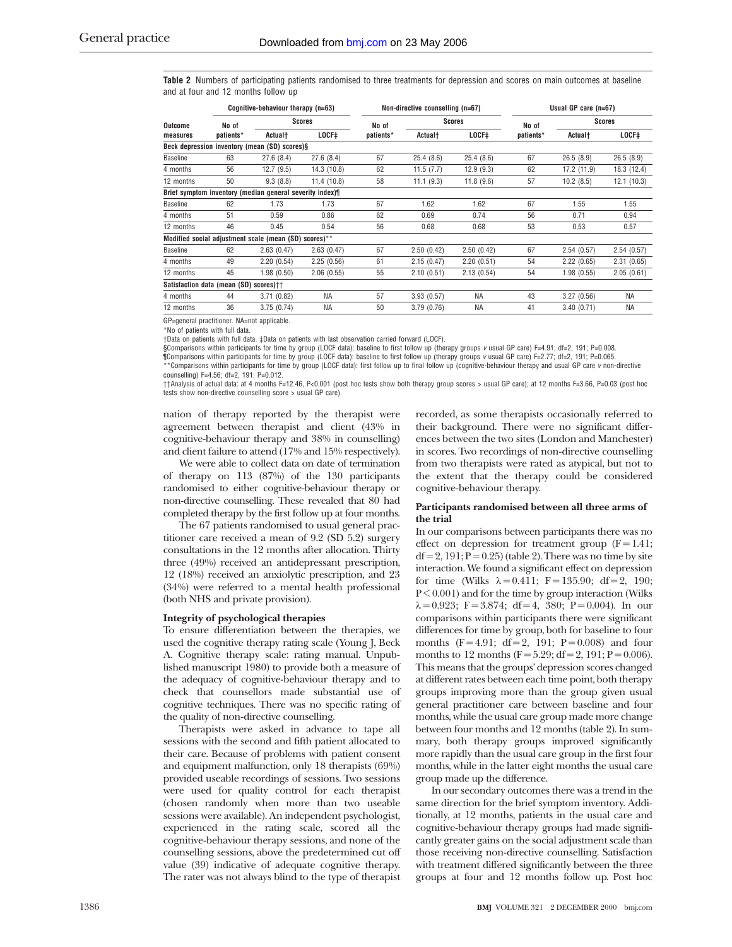**Table 2** Numbers of participating patients randomised to three treatments for depression and scores on main outcomes at baseline and at four and 12 months follow up

|                                                          | Cognitive-behaviour therapy (n=63)     |                                                       |             | Non-directive counselling (n=67) |               |            | Usual GP care $(n=67)$ |                     |             |  |
|----------------------------------------------------------|----------------------------------------|-------------------------------------------------------|-------------|----------------------------------|---------------|------------|------------------------|---------------------|-------------|--|
| Outcome<br>measures                                      | No of                                  | <b>Scores</b>                                         |             | No of                            | <b>Scores</b> |            | No of                  | <b>Scores</b>       |             |  |
|                                                          | patients*                              | Actual†                                               | LOCF‡       | patients*                        | Actual†       | $LOCF+$    | patients*              | Actual <sup>+</sup> | LOCF‡       |  |
|                                                          |                                        | Beck depression inventory (mean (SD) scores)§         |             |                                  |               |            |                        |                     |             |  |
| <b>Baseline</b>                                          | 63                                     | 27.6(8.4)                                             | 27.6(8.4)   | 67                               | 25.4(8.6)     | 25.4(8.6)  | 67                     | 26.5(8.9)           | 26.5(8.9)   |  |
| 4 months                                                 | 56                                     | 12.7(9.5)                                             | 14.3 (10.8) | 62                               | 11.5(7.7)     | 12.9(9.3)  | 62                     | 17.2 (11.9)         | 18.3 (12.4) |  |
| 12 months                                                | 50                                     | 9.3(8.8)                                              | 11.4(10.8)  | 58                               | 11.1(9.3)     | 11.8(9.6)  | 57                     | 10.2(8.5)           | 12.1(10.3)  |  |
| Brief symptom inventory (median general severity index)¶ |                                        |                                                       |             |                                  |               |            |                        |                     |             |  |
| <b>Baseline</b>                                          | 62                                     | 1.73                                                  | 1.73        | 67                               | 1.62          | 1.62       | 67                     | 1.55                | 1.55        |  |
| 4 months                                                 | 51                                     | 0.59                                                  | 0.86        | 62                               | 0.69          | 0.74       | 56                     | 0.71                | 0.94        |  |
| 12 months                                                | 46                                     | 0.45                                                  | 0.54        | 56                               | 0.68          | 0.68       | 53                     | 0.53                | 0.57        |  |
|                                                          |                                        | Modified social adjustment scale (mean (SD) scores)** |             |                                  |               |            |                        |                     |             |  |
| <b>Baseline</b>                                          | 62                                     | 2.63(0.47)                                            | 2.63(0.47)  | 67                               | 2.50(0.42)    | 2.50(0.42) | 67                     | 2.54(0.57)          | 2.54(0.57)  |  |
| 4 months                                                 | 49                                     | 2.20(0.54)                                            | 2.25(0.56)  | 61                               | 2.15(0.47)    | 2.20(0.51) | 54                     | 2.22(0.65)          | 2.31(0.65)  |  |
| 12 months                                                | 45                                     | 1.98(0.50)                                            | 2.06(0.55)  | 55                               | 2.10(0.51)    | 2.13(0.54) | 54                     | 1.98(0.55)          | 2.05(0.61)  |  |
|                                                          | Satisfaction data (mean (SD) scores)†† |                                                       |             |                                  |               |            |                        |                     |             |  |
| 4 months                                                 | 44                                     | 3.71(0.82)                                            | <b>NA</b>   | 57                               | 3.93(0.57)    | <b>NA</b>  | 43                     | 3.27(0.56)          | <b>NA</b>   |  |
| 12 months                                                | 36                                     | 3.75(0.74)                                            | <b>NA</b>   | 50                               | 3.79(0.76)    | <b>NA</b>  | 41                     | 3.40(0.71)          | <b>NA</b>   |  |

GP=general practitioner. NA=not applicable.

\*No of patients with full data.

†Data on patients with full data. ‡Data on patients with last observation carried forward (LOCF).

§Comparisons within participants for time by group (LOCF data): baseline to first follow up (therapy groups v usual GP care) F=4.91; df=2, 191; P=0.008.

¶Comparisons within participants for time by group (LOCF data): baseline to first follow up (therapy groups v usual GP care) F=2.77; df=2, 191; P=0.065. \*\*Comparisons within participants for time by group (LOCF data): first follow up to final follow up (cognitive-behaviour therapy and usual GP care v non-directive

counselling) F=4.56; df=2, 191; P=0.012. ††Analysis of actual data: at 4 months F=12.46, P<0.001 (post hoc tests show both therapy group scores > usual GP care); at 12 months F=3.66, P=0.03 (post hoc tests show non-directive counselling score > usual GP care).

nation of therapy reported by the therapist were agreement between therapist and client (43% in cognitive-behaviour therapy and 38% in counselling) and client failure to attend (17% and 15% respectively).

We were able to collect data on date of termination of therapy on 113 (87%) of the 130 participants randomised to either cognitive-behaviour therapy or non-directive counselling. These revealed that 80 had completed therapy by the first follow up at four months.

The 67 patients randomised to usual general practitioner care received a mean of 9.2 (SD 5.2) surgery consultations in the 12 months after allocation. Thirty three (49%) received an antidepressant prescription, 12 (18%) received an anxiolytic prescription, and 23 (34%) were referred to a mental health professional (both NHS and private provision).

#### **Integrity of psychological therapies**

To ensure differentiation between the therapies, we used the cognitive therapy rating scale (Young J, Beck A. Cognitive therapy scale: rating manual. Unpublished manuscript 1980) to provide both a measure of the adequacy of cognitive-behaviour therapy and to check that counsellors made substantial use of cognitive techniques. There was no specific rating of the quality of non-directive counselling.

Therapists were asked in advance to tape all sessions with the second and fifth patient allocated to their care. Because of problems with patient consent and equipment malfunction, only 18 therapists (69%) provided useable recordings of sessions. Two sessions were used for quality control for each therapist (chosen randomly when more than two useable sessions were available). An independent psychologist, experienced in the rating scale, scored all the cognitive-behaviour therapy sessions, and none of the counselling sessions, above the predetermined cut off value (39) indicative of adequate cognitive therapy. The rater was not always blind to the type of therapist recorded, as some therapists occasionally referred to their background. There were no significant differences between the two sites (London and Manchester) in scores. Two recordings of non-directive counselling from two therapists were rated as atypical, but not to the extent that the therapy could be considered cognitive-behaviour therapy.

# **Participants randomised between all three arms of the trial**

In our comparisons between participants there was no effect on depression for treatment group  $(F = 1.41)$ ;  $df = 2$ , 191;  $P = 0.25$ ) (table 2). There was no time by site interaction. We found a significant effect on depression for time (Wilks  $\lambda = 0.411$ ; F = 135.90; df = 2, 190;  $P < 0.001$ ) and for the time by group interaction (Wilks  $\lambda = 0.923$ ; F = 3.874; df = 4, 380; P = 0.004). In our comparisons within participants there were significant differences for time by group, both for baseline to four months  $(F = 4.91; df = 2, 191; P = 0.008)$  and four months to 12 months ( $F = 5.29$ ; df = 2, 191;  $P = 0.006$ ). This means that the groups' depression scores changed at different rates between each time point, both therapy groups improving more than the group given usual general practitioner care between baseline and four months, while the usual care group made more change between four months and 12 months (table 2). In summary, both therapy groups improved significantly more rapidly than the usual care group in the first four months, while in the latter eight months the usual care group made up the difference.

In our secondary outcomes there was a trend in the same direction for the brief symptom inventory. Additionally, at 12 months, patients in the usual care and cognitive-behaviour therapy groups had made significantly greater gains on the social adjustment scale than those receiving non-directive counselling. Satisfaction with treatment differed significantly between the three groups at four and 12 months follow up. Post hoc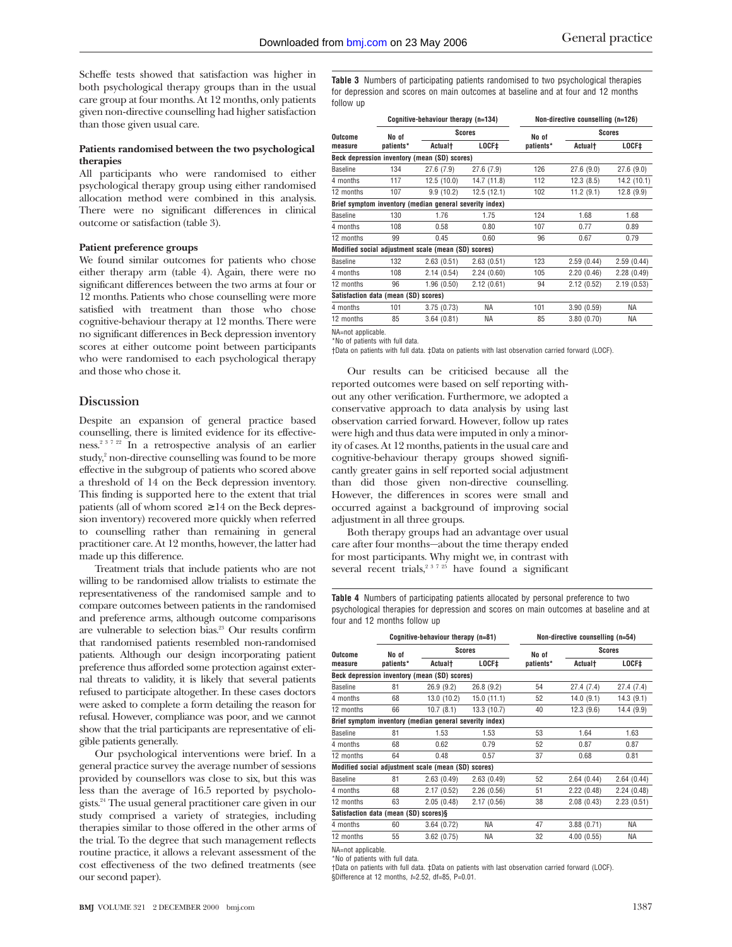Scheffe tests showed that satisfaction was higher in both psychological therapy groups than in the usual care group at four months. At 12 months, only patients given non-directive counselling had higher satisfaction than those given usual care.

# **Patients randomised between the two psychological therapies**

All participants who were randomised to either psychological therapy group using either randomised allocation method were combined in this analysis. There were no significant differences in clinical outcome or satisfaction (table 3).

#### **Patient preference groups**

We found similar outcomes for patients who chose either therapy arm (table 4). Again, there were no significant differences between the two arms at four or 12 months. Patients who chose counselling were more satisfied with treatment than those who chose cognitive-behaviour therapy at 12 months. There were no significant differences in Beck depression inventory scores at either outcome point between participants who were randomised to each psychological therapy and those who chose it.

# **Discussion**

Despite an expansion of general practice based counselling, there is limited evidence for its effectiveness.2 3 7 22 In a retrospective analysis of an earlier study,<sup>2</sup> non-directive counselling was found to be more effective in the subgroup of patients who scored above a threshold of 14 on the Beck depression inventory. This finding is supported here to the extent that trial patients (all of whom scored  $\geq 14$  on the Beck depression inventory) recovered more quickly when referred to counselling rather than remaining in general practitioner care. At 12 months, however, the latter had made up this difference.

Treatment trials that include patients who are not willing to be randomised allow trialists to estimate the representativeness of the randomised sample and to compare outcomes between patients in the randomised and preference arms, although outcome comparisons are vulnerable to selection bias.<sup>23</sup> Our results confirm that randomised patients resembled non-randomised patients. Although our design incorporating patient preference thus afforded some protection against external threats to validity, it is likely that several patients refused to participate altogether. In these cases doctors were asked to complete a form detailing the reason for refusal. However, compliance was poor, and we cannot show that the trial participants are representative of eligible patients generally.

Our psychological interventions were brief. In a general practice survey the average number of sessions provided by counsellors was close to six, but this was less than the average of 16.5 reported by psychologists.24 The usual general practitioner care given in our study comprised a variety of strategies, including therapies similar to those offered in the other arms of the trial. To the degree that such management reflects routine practice, it allows a relevant assessment of the cost effectiveness of the two defined treatments (see our second paper).

**Table 3** Numbers of participating patients randomised to two psychological therapies for depression and scores on main outcomes at baseline and at four and 12 months follow up

|                 |                                      | Cognitive-behaviour therapy (n=134)                     |               | Non-directive counselling (n=126) |                            |             |  |
|-----------------|--------------------------------------|---------------------------------------------------------|---------------|-----------------------------------|----------------------------|-------------|--|
| Outcome         | No of                                |                                                         | <b>Scores</b> | No of                             | <b>Scores</b>              |             |  |
| measure         | patients*                            | Actualt                                                 | LOCF‡         | patients*                         | <b>Actual</b> <sup>+</sup> | $LOCF+$     |  |
|                 |                                      | Beck depression inventory (mean (SD) scores)            |               |                                   |                            |             |  |
| <b>Baseline</b> | 134                                  | 27.6(7.9)                                               | 27.6(7.9)     | 126                               | 27.6(9.0)                  | 27.6(9.0)   |  |
| 4 months        | 117                                  | 12.5(10.0)                                              | 14.7 (11.8)   | 112                               | 12.3(8.5)                  | 14.2 (10.1) |  |
| 12 months       | 107                                  | 9.9(10.2)                                               | 12.5(12.1)    | 102                               | 11.2(9.1)                  | 12.8 (9.9)  |  |
|                 |                                      | Brief symptom inventory (median general severity index) |               |                                   |                            |             |  |
| <b>Baseline</b> | 130                                  | 1.76                                                    | 1.75          | 124                               | 1.68                       | 1.68        |  |
| 4 months        | 108                                  | 0.58                                                    | 0.80          | 107                               | 0.77                       | 0.89        |  |
| 12 months       | 99                                   | 0.45                                                    | 0.60          | 96                                | 0.67                       | 0.79        |  |
|                 |                                      | Modified social adjustment scale (mean (SD) scores)     |               |                                   |                            |             |  |
| <b>Baseline</b> | 132                                  | 2.63(0.51)                                              | 2.63(0.51)    | 123                               | 2.59(0.44)                 | 2.59(0.44)  |  |
| 4 months        | 108                                  | 2.14(0.54)                                              | 2.24(0.60)    | 105                               | 2.20(0.46)                 | 2.28(0.49)  |  |
| 12 months       | 96                                   | 1.96(0.50)                                              | 2.12(0.61)    | 94                                | 2.12(0.52)                 | 2.19(0.53)  |  |
|                 | Satisfaction data (mean (SD) scores) |                                                         |               |                                   |                            |             |  |
| 4 months        | 101                                  | 3.75(0.73)                                              | NA            | 101                               | 3.90(0.59)                 | ΝA          |  |
| 12 months       | 85                                   | 3.64(0.81)                                              | ΝA            | 85                                | 3.80(0.70)                 | ΝA          |  |
|                 |                                      |                                                         |               |                                   |                            |             |  |

NA=not applicable.

\*No of patients with full data.

†Data on patients with full data. ‡Data on patients with last observation carried forward (LOCF).

Our results can be criticised because all the reported outcomes were based on self reporting without any other verification. Furthermore, we adopted a conservative approach to data analysis by using last observation carried forward. However, follow up rates were high and thus data were imputed in only a minority of cases. At 12 months, patients in the usual care and cognitive-behaviour therapy groups showed significantly greater gains in self reported social adjustment than did those given non-directive counselling. However, the differences in scores were small and occurred against a background of improving social adjustment in all three groups.

Both therapy groups had an advantage over usual care after four months—about the time therapy ended for most participants. Why might we, in contrast with several recent trials,<sup>2 3 7 25</sup> have found a significant

**Table 4** Numbers of participating patients allocated by personal preference to two psychological therapies for depression and scores on main outcomes at baseline and at four and 12 months follow up

|                                                         |           | Cognitive-behaviour therapy (n=81) |             | Non-directive counselling (n=54) |                            |            |  |  |  |  |  |
|---------------------------------------------------------|-----------|------------------------------------|-------------|----------------------------------|----------------------------|------------|--|--|--|--|--|
| Outcome                                                 | No of     | <b>Scores</b>                      |             | No of                            | <b>Scores</b>              |            |  |  |  |  |  |
| measure                                                 | patients* | <b>Actual</b> t                    | LOCF‡       | patients*                        | <b>Actual</b> <sup>+</sup> | LOCF‡      |  |  |  |  |  |
| Beck depression inventory (mean (SD) scores)            |           |                                    |             |                                  |                            |            |  |  |  |  |  |
| <b>Baseline</b>                                         | 81        | 26.9(9.2)                          | 26.8(9.2)   | 54                               | 27.4(7.4)                  | 27.4(7.4)  |  |  |  |  |  |
| 4 months                                                | 68        | 13.0(10.2)                         | 15.0(11.1)  | 52                               | 14.0(9.1)                  | 14.3(9.1)  |  |  |  |  |  |
| 12 months                                               | 66        | 10.7(8.1)                          | 13.3 (10.7) | 40                               | 12.3(9.6)                  | 14.4 (9.9) |  |  |  |  |  |
| Brief symptom inventory (median general severity index) |           |                                    |             |                                  |                            |            |  |  |  |  |  |
| <b>Baseline</b>                                         | 81        | 1.53                               | 1.53        | 53                               | 1.64                       | 1.63       |  |  |  |  |  |
| 4 months                                                | 68        | 0.62                               | 0.79        | 52                               | 0.87                       | 0.87       |  |  |  |  |  |
| 12 months                                               | 64        | 0.48                               | 0.57        | 37                               | 0.68                       | 0.81       |  |  |  |  |  |
| Modified social adjustment scale (mean (SD) scores)     |           |                                    |             |                                  |                            |            |  |  |  |  |  |
| <b>Baseline</b>                                         | 81        | 2.63(0.49)                         | 2.63(0.49)  | 52                               | 2.64(0.44)                 | 2.64(0.44) |  |  |  |  |  |
| 4 months                                                | 68        | 2.17(0.52)                         | 2.26(0.56)  | 51                               | 2.22(0.48)                 | 2.24(0.48) |  |  |  |  |  |
| 12 months                                               | 63        | 2.05(0.48)                         | 2.17(0.56)  | 38                               | 2.08(0.43)                 | 2.23(0.51) |  |  |  |  |  |
| Satisfaction data (mean (SD) scores)§                   |           |                                    |             |                                  |                            |            |  |  |  |  |  |
| 4 months                                                | 60        | 3.64(0.72)                         | ΝA          | 47                               | 3.88(0.71)                 | ΝA         |  |  |  |  |  |
| 12 months                                               | 55        | 3.62(0.75)                         | <b>NA</b>   | 32                               | 4.00(0.55)                 | <b>NA</b>  |  |  |  |  |  |

NA=not applicable.

\*No of patients with full data.

†Data on patients with full data. ‡Data on patients with last observation carried forward (LOCF). §Difference at 12 months, *t*=2.52, df=85, P=0.01.